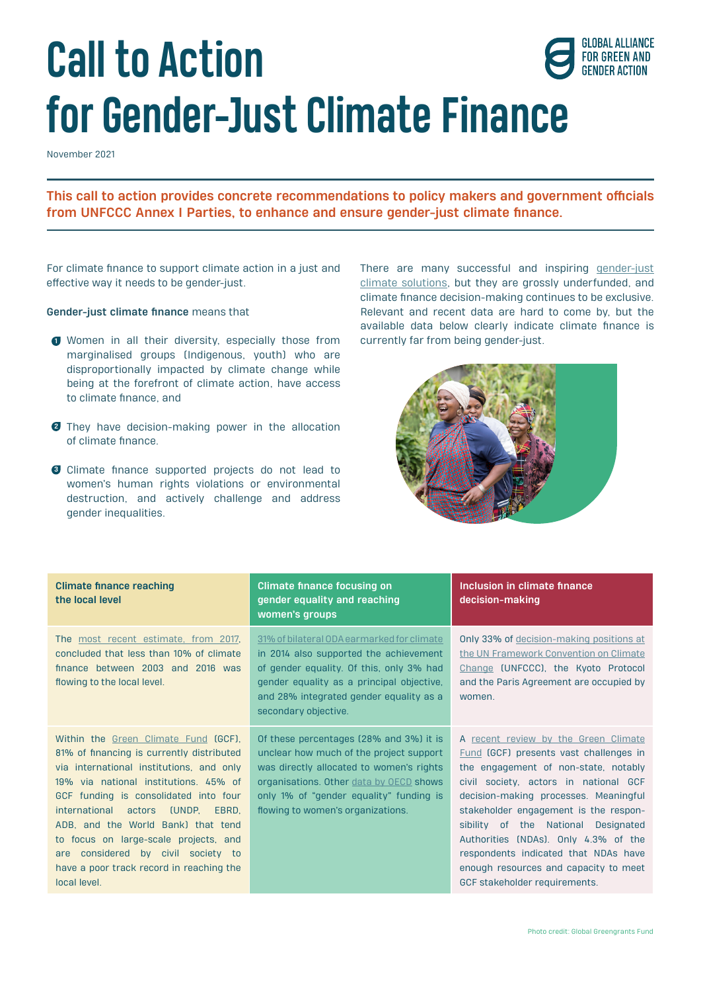# **Call to Action for Gender-Just Climate Finance**

November 2021

**This call to action provides concrete recommendations to policy makers and government officials from UNFCCC Annex I Parties, to enhance and ensure gender-just climate finance.**

For climate finance to support climate action in a just and effective way it needs to be gender-just.

#### **Gender-just climate finance** means that

- **I** Women in all their diversity, especially those from currently far from being gender-just. marginalised groups (Indigenous, youth) who are disproportionally impacted by climate change while being at the forefront of climate action, have access to climate finance, and
- They have decision-making power in the allocation **2** of climate finance.
- Climate finance supported projects do not lead to **3**women's human rights violations or environmental destruction, and actively challenge and address gender inequalities.

There are many successful and inspiring [gender-just](https://wedo.org/gender-just-climate-solutions/)  [climate solutions,](https://wedo.org/gender-just-climate-solutions/) but they are grossly underfunded, and climate finance decision-making continues to be exclusive. Relevant and recent data are hard to come by, but the available data below clearly indicate climate finance is

**GLOBAL ALLIANCE FOR GREEN AND GENDER ACTION** 



| <b>Climate finance reaching</b><br>the local level                                                                                                                                                                                                                                                                                                                                                                                                    | <b>Climate finance focusing on</b><br>gender equality and reaching<br>women's groups                                                                                                                                                                      | Inclusion in climate finance<br>decision-making                                                                                                                                                                                                                                                                                                                                                                                                    |
|-------------------------------------------------------------------------------------------------------------------------------------------------------------------------------------------------------------------------------------------------------------------------------------------------------------------------------------------------------------------------------------------------------------------------------------------------------|-----------------------------------------------------------------------------------------------------------------------------------------------------------------------------------------------------------------------------------------------------------|----------------------------------------------------------------------------------------------------------------------------------------------------------------------------------------------------------------------------------------------------------------------------------------------------------------------------------------------------------------------------------------------------------------------------------------------------|
| The most recent estimate, from 2017.<br>concluded that less than 10% of climate<br>finance between 2003 and 2016 was<br>flowing to the local level.                                                                                                                                                                                                                                                                                                   | 31% of bilateral ODA earmarked for climate<br>in 2014 also supported the achievement<br>of gender equality. Of this, only 3% had<br>gender equality as a principal objective.<br>and 28% integrated gender equality as a<br>secondary objective.          | Only 33% of decision-making positions at<br>the UN Framework Convention on Climate<br>Change (UNFCCC), the Kyoto Protocol<br>and the Paris Agreement are occupied by<br>women.                                                                                                                                                                                                                                                                     |
| Within the Green Climate Fund (GCF).<br>81% of financing is currently distributed<br>via international institutions, and only<br>19% via national institutions. 45% of<br>GCF funding is consolidated into four<br>international actors<br><b>CONDP.</b><br>EBRD.<br>ADB, and the World Bank) that tend<br>to focus on large-scale projects, and<br>considered by civil society to<br>are<br>have a poor track record in reaching the<br>local level. | Of these percentages (28% and 3%) it is<br>unclear how much of the project support<br>was directly allocated to women's rights<br>organisations. Other data by OECD shows<br>only 1% of "gender equality" funding is<br>flowing to women's organizations. | A recent review by the Green Climate<br>Fund (GCF) presents vast challenges in<br>the engagement of non-state, notably<br>civil society, actors in national GCF<br>decision-making processes. Meaningful<br>stakeholder engagement is the respon-<br>sibility of the National Designated<br>Authorities (NDAs). Only 4.3% of the<br>respondents indicated that NDAs have<br>enough resources and capacity to meet<br>GCF stakeholder requirements. |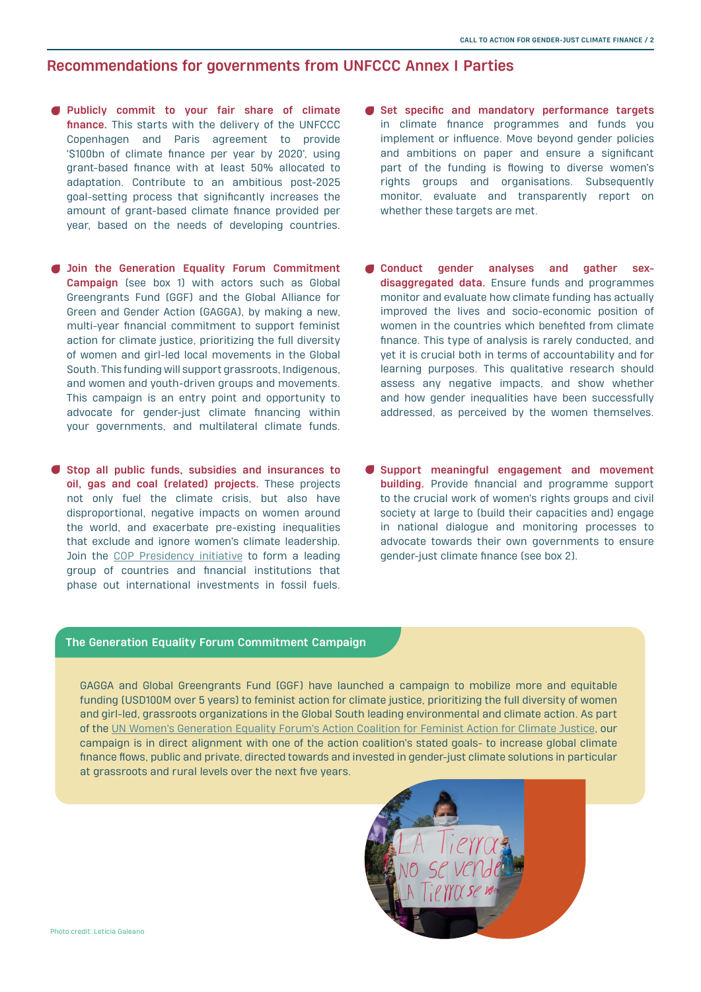### **Recommendations for governments from UNFCCC Annex I Parties**

- **Publicly commit to your fair share of climate finance.** This starts with the delivery of the UNFCCC Copenhagen and Paris agreement to provide '\$100bn of climate finance per year by 2020', using grant-based finance with at least 50% allocated to adaptation. Contribute to an ambitious post-2025 goal-setting process that significantly increases the amount of grant-based climate finance provided per year, based on the needs of developing countries.
- **Join the Generation Equality Forum Commitment Campaign** (see box 1) with actors such as Global Greengrants Fund (GGF) and the Global Alliance for Green and Gender Action (GAGGA), by making a new, multi-year financial commitment to support feminist action for climate justice, prioritizing the full diversity of women and girl-led local movements in the Global South. This funding will support grassroots, Indigenous, and women and youth-driven groups and movements. This campaign is an entry point and opportunity to advocate for gender-just climate financing within your governments, and multilateral climate funds.
- **Stop all public funds, subsidies and insurances to oil, gas and coal (related) projects.** These projects not only fuel the climate crisis, but also have disproportional, negative impacts on women around the world, and exacerbate pre-existing inequalities that exclude and ignore women's climate leadership. Join the [COP Presidency initiative](https://www.project-syndicate.org/commentary/public-finance-cop26-challenge-end-fossil-fuel-support-by-werner-hoyer-and-john-murton-2021-10) to form a leading group of countries and financial institutions that phase out international investments in fossil fuels.
- **Set specific and mandatory performance targets**  in climate finance programmes and funds you implement or influence. Move beyond gender policies and ambitions on paper and ensure a significant part of the funding is flowing to diverse women's rights groups and organisations. Subsequently monitor, evaluate and transparently report on whether these targets are met.
- **Conduct gender analyses and gather sexdisaggregated data.** Ensure funds and programmes monitor and evaluate how climate funding has actually improved the lives and socio-economic position of women in the countries which benefited from climate finance. This type of analysis is rarely conducted, and yet it is crucial both in terms of accountability and for learning purposes. This qualitative research should assess any negative impacts, and show whether and how gender inequalities have been successfully addressed, as perceived by the women themselves.
- **Support meaningful engagement and movement building.** Provide financial and programme support to the crucial work of women's rights groups and civil society at large to (build their capacities and) engage in national dialogue and monitoring processes to advocate towards their own governments to ensure gender-just climate finance (see box 2).

#### **The Generation Equality Forum Commitment Campaign**

GAGGA and Global Greengrants Fund (GGF) have launched a campaign to mobilize more and equitable funding (USD100M over 5 years) to feminist action for climate justice, prioritizing the full diversity of women and girl-led, grassroots organizations in the Global South leading environmental and climate action. As part of the [UN Women's Generation Equality Forum's Action Coalition for Feminist Action for Climate Justice](https://forum.generationequality.org/sites/default/files/2021-06/UNW%20-%20GAP%20Report%20-%20EN.pdf), our campaign is in direct alignment with one of the action coalition's stated goals- to increase global climate finance flows, public and private, directed towards and invested in gender-just climate solutions in particular at grassroots and rural levels over the next five years.

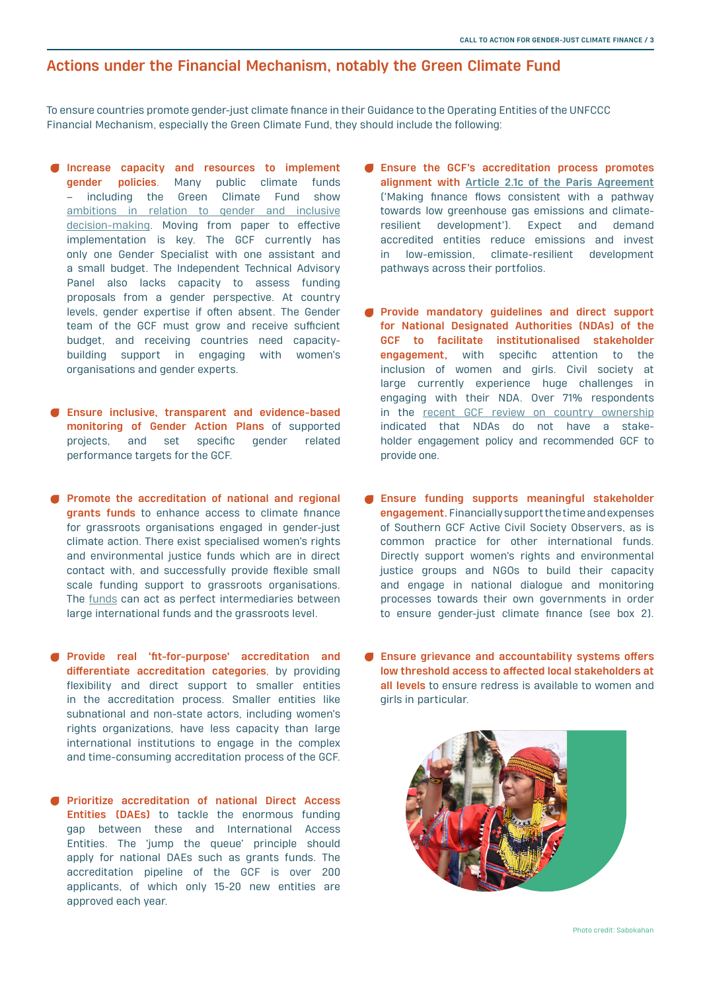## **Actions under the Financial Mechanism, notably the Green Climate Fund**

To ensure countries promote gender-just climate finance in their Guidance to the Operating Entities of the UNFCCC Financial Mechanism, especially the Green Climate Fund, they should include the following:

- **Increase capacity and resources to implement gender policies**. Many public climate funds – including the Green Climate Fund [show](http://greenclimate.fund/document/gender-policy) [ambitions in relation to gender and inclusive](http://greenclimate.fund/document/gender-policy) [decision-making](http://greenclimate.fund/document/gender-policy). Moving from paper to effective implementation is key. The GCF currently has only one Gender Specialist with one assistant and a small budget. The Independent Technical Advisory Panel also lacks capacity to assess funding proposals from a gender perspective. At country levels, gender expertise if often absent. The Gender team of the GCF must grow and receive sufficient budget, and receiving countries need capacitybuilding support in engaging with women's organisations and gender experts.
- **Ensure inclusive, transparent and evidence-based monitoring of Gender Action Plans** of supported projects, and set specific gender related performance targets for the GCF.
- **Promote the accreditation of national and regional grants funds** to enhance access to climate finance for grassroots organisations engaged in gender-just climate action. There exist specialised women's rights and environmental justice funds which are in direct contact with, and successfully provide flexible small scale funding support to grassroots organisations. [The funds can act as perfect intermediaries between](https://www.bothends.org/en/Our-work/Dossiers/Small-Grants-Big-Impacts/) [large international funds and the grassroots level](https://www.bothends.org/en/Our-work/Dossiers/Small-Grants-Big-Impacts/).
- **Provide real 'fit-for-purpose' accreditation and differentiate accreditation categories**, by providing flexibility and direct support to smaller entities in the accreditation process. Smaller entities like subnational and non-state actors, including women's rights organizations, have less capacity than large international institutions to engage in the complex and time-consuming accreditation process of the GCF.
- **Prioritize accreditation of national Direct Access Entities (DAEs)** to tackle the enormous funding gap between these and International Access Entities. The 'jump the queue' principle should apply for national DAEs such as grants funds. The accreditation pipeline of the GCF is over 200 applicants, of which only 15-20 new entities are approved each year.
- **Ensure the GCF's accreditation process promotes alignment with [Article 2.1c of the Paris Agreement](https://unfccc.int/files/meetings/paris_nov_2015/application/pdf/paris_agreement_english_.pdf)** ('Making finance flows consistent with a pathway towards low greenhouse gas emissions and climateresilient development'). Expect and demand accredited entities reduce emissions and invest in low-emission, climate-resilient development pathways across their portfolios.
- **Provide mandatory guidelines and direct support for National Designated Authorities (NDAs) of the GCF to facilitate institutionalised stakeholder engagement,** with specific attention to the inclusion of women and girls. Civil society at large currently experience huge challenges in engaging with their NDA. [Over 71%](https://www.greenclimate.fund/sites/default/files/document/gcf-b30-inf11-add03.pdf) respondents in the [recent GCF review on country ownership](https://www.greenclimate.fund/sites/default/files/document/gcf-b30-inf11-add03.pdf) indicated that NDAs do not have a stakeholder engagement policy and recommended GCF to provide one.
- **Ensure funding supports meaningful stakeholder engagement.**Financially support the time and expenses of Southern GCF Active Civil Society Observers, as is common practice for other international funds. Directly support women's rights and environmental justice groups and NGOs to build their capacity and engage in national dialogue and monitoring processes towards their own governments in order to ensure gender-just climate finance (see box 2).
- **Ensure grievance and accountability systems offers low threshold access to affected local stakeholders at all levels** to ensure redress is available to women and girls in particular.